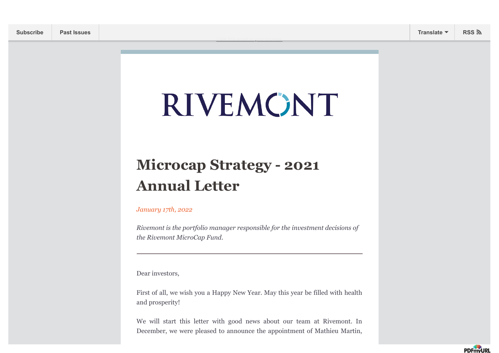# RIVEMONT

[View this email in your browser](https://mailchi.mp/b4acc27945cd/lancement-du-fonds-rivemont-crypto-launch-of-the-rivemont-crypto-fund-13553103?e=[UNIQID])

# **Microcap Strategy - 2021 Annual Letter**

### *January 17th, 2022*

*Rivemont is the portfolio manager responsible for the investment decisions of the Rivemont MicroCap Fund.*

Dear investors,

First of all, we wish you a Happy New Year. May this year be filled with health and prosperity!

We will start this letter with good news about our team at Rivemont. In December, we were pleased to announce the appointment of Mathieu Martin,

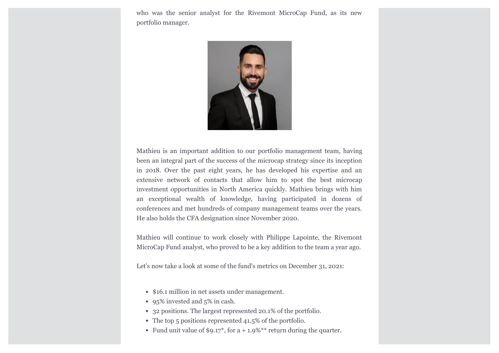who was the senior analyst for the Rivemont MicroCap Fund, as its new portfolio manager.



Mathieu is an important addition to our portfolio management team, having been an integral part of the success of the microcap strategy since its inception in 2018. Over the past eight years, he has developed his expertise and an extensive network of contacts that allow him to spot the best microcap investment opportunities in North America quickly. Mathieu brings with him an exceptional wealth of knowledge, having participated in dozens of conferences and met hundreds of company management teams over the years. He also holds the CFA designation since November 2020.

Mathieu will continue to work closely with Philippe Lapointe, the Rivemont MicroCap Fund analyst, who proved to be a key addition to the team a year ago.

Let's now take a look at some of the fund's metrics on December 31, 2021:

- \$16.1 million in net assets under management.
- 95% invested and 5% in cash.
- 32 positions. The largest represented 20.1% of the portfolio.
- The top 5 positions represented 41.5% of the portfolio.
- Fund unit value of  $$9.17^*$ , for a + 1.9%<sup>\*\*</sup> return during the quarter.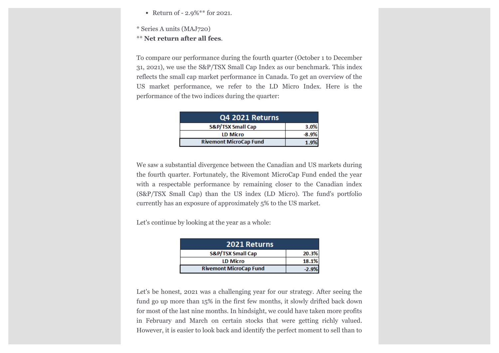- Return of 2.9%\*\* for 2021.
- \* Series A units (MAJ720)
- \*\* **Net return after all fees**.

To compare our performance during the fourth quarter (October 1 to December 31, 2021), we use the S&P/TSX Small Cap Index as our benchmark. This index reflects the small cap market performance in Canada. To get an overview of the US market performance, we refer to the LD Micro Index. Here is the performance of the two indices during the quarter:

| Q4 2021 Returns               |       |
|-------------------------------|-------|
| <b>S&amp;P/TSX Small Cap</b>  | 3.0%  |
| <b>LD Micro</b>               | -8.9% |
| <b>Rivemont MicroCap Fund</b> |       |

We saw a substantial divergence between the Canadian and US markets during the fourth quarter. Fortunately, the Rivemont MicroCap Fund ended the year with a respectable performance by remaining closer to the Canadian index (S&P/TSX Small Cap) than the US index (LD Micro). The fund's portfolio currently has an exposure of approximately 5% to the US market.

Let's continue by looking at the year as a whole:

| 2021 Returns                  |       |
|-------------------------------|-------|
| <b>S&amp;P/TSX Small Cap</b>  | 20.3% |
| <b>LD Micro</b>               | 18.1% |
| <b>Rivemont MicroCap Fund</b> |       |

Let's be honest, 2021 was a challenging year for our strategy. After seeing the fund go up more than 15% in the first few months, it slowly drifted back down for most of the last nine months. In hindsight, we could have taken more profits in February and March on certain stocks that were getting richly valued. However, it is easier to look back and identify the perfect moment to sell than to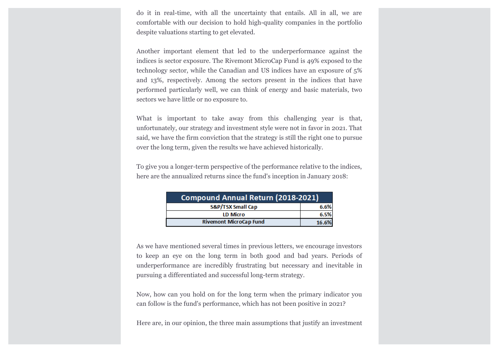do it in real-time, with all the uncertainty that entails. All in all, we are comfortable with our decision to hold high-quality companies in the portfolio despite valuations starting to get elevated.

Another important element that led to the underperformance against the indices is sector exposure. The Rivemont MicroCap Fund is 49% exposed to the technology sector, while the Canadian and US indices have an exposure of 5% and 13%, respectively. Among the sectors present in the indices that have performed particularly well, we can think of energy and basic materials, two sectors we have little or no exposure to.

What is important to take away from this challenging year is that, unfortunately, our strategy and investment style were not in favor in 2021. That said, we have the firm conviction that the strategy is still the right one to pursue over the long term, given the results we have achieved historically.

To give you a longer-term perspective of the performance relative to the indices, here are the annualized returns since the fund's inception in January 2018:

| Compound Annual Return (2018-2021) |       |  |
|------------------------------------|-------|--|
| <b>S&amp;P/TSX Small Cap</b>       | 6.6%  |  |
| <b>LD Micro</b>                    | 6.5%  |  |
| <b>Rivemont MicroCap Fund</b>      | 16.6% |  |

As we have mentioned several times in previous letters, we encourage investors to keep an eye on the long term in both good and bad years. Periods of underperformance are incredibly frustrating but necessary and inevitable in pursuing a differentiated and successful long-term strategy.

Now, how can you hold on for the long term when the primary indicator you can follow is the fund's performance, which has not been positive in 2021?

Here are, in our opinion, the three main assumptions that justify an investment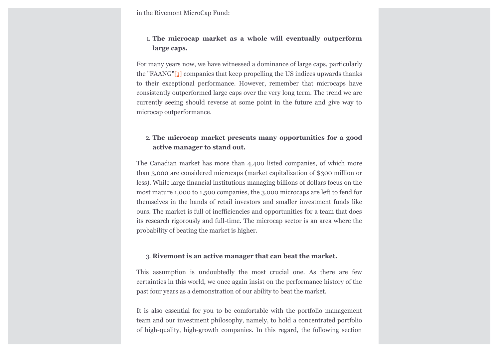in the Rivemont MicroCap Fund:

# 1. **The microcap market as a whole will eventually outperform large caps.**

<span id="page-4-0"></span>For many years now, we have witnessed a dominance of large caps, particularly the "FAANG["\[1\]](#page-8-0) companies that keep propelling the US indices upwards thanks to their exceptional performance. However, remember that microcaps have consistently outperformed large caps over the very long term. The trend we are currently seeing should reverse at some point in the future and give way to microcap outperformance.

# 2. **The microcap market presents many opportunities for a good active manager to stand out.**

The Canadian market has more than 4,400 listed companies, of which more than 3,000 are considered microcaps (market capitalization of \$300 million or less). While large financial institutions managing billions of dollars focus on the most mature 1,000 to 1,500 companies, the 3,000 microcaps are left to fend for themselves in the hands of retail investors and smaller investment funds like ours. The market is full of inefficiencies and opportunities for a team that does its research rigorously and full-time. The microcap sector is an area where the probability of beating the market is higher.

#### 3. **Rivemont is an active manager that can beat the market.**

This assumption is undoubtedly the most crucial one. As there are few certainties in this world, we once again insist on the performance history of the past four years as a demonstration of our ability to beat the market.

It is also essential for you to be comfortable with the portfolio management team and our investment philosophy, namely, to hold a concentrated portfolio of high-quality, high-growth companies. In this regard, the following section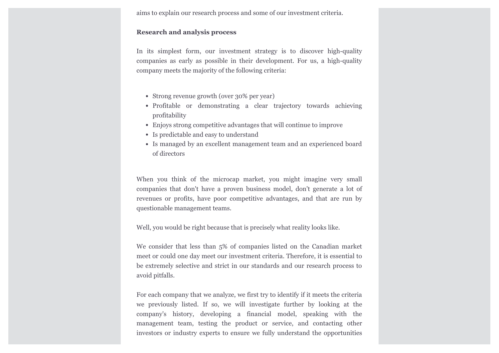aims to explain our research process and some of our investment criteria.

#### **Research and analysis process**

In its simplest form, our investment strategy is to discover high-quality companies as early as possible in their development. For us, a high-quality company meets the majority of the following criteria:

- Strong revenue growth (over 30% per year)
- Profitable or demonstrating a clear trajectory towards achieving profitability
- Enjoys strong competitive advantages that will continue to improve
- Is predictable and easy to understand
- Is managed by an excellent management team and an experienced board of directors

When you think of the microcap market, you might imagine very small companies that don't have a proven business model, don't generate a lot of revenues or profits, have poor competitive advantages, and that are run by questionable management teams.

Well, you would be right because that is precisely what reality looks like.

We consider that less than 5% of companies listed on the Canadian market meet or could one day meet our investment criteria. Therefore, it is essential to be extremely selective and strict in our standards and our research process to avoid pitfalls.

For each company that we analyze, we first try to identify if it meets the criteria we previously listed. If so, we will investigate further by looking at the company's history, developing a financial model, speaking with the management team, testing the product or service, and contacting other investors or industry experts to ensure we fully understand the opportunities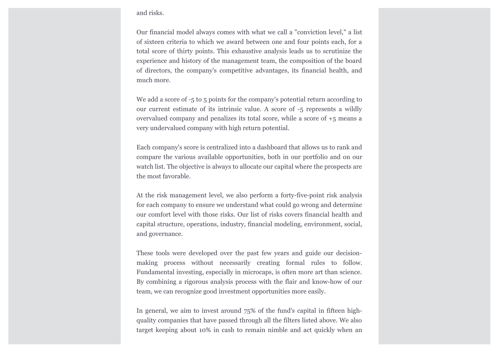#### and risks.

Our financial model always comes with what we call a "conviction level," a list of sixteen criteria to which we award between one and four points each, for a total score of thirty points. This exhaustive analysis leads us to scrutinize the experience and history of the management team, the composition of the board of directors, the company's competitive advantages, its financial health, and much more.

We add a score of  $-5$  to 5 points for the company's potential return according to our current estimate of its intrinsic value. A score of -5 represents a wildly overvalued company and penalizes its total score, while a score of +5 means a very undervalued company with high return potential.

Each company's score is centralized into a dashboard that allows us to rank and compare the various available opportunities, both in our portfolio and on our watch list. The objective is always to allocate our capital where the prospects are the most favorable.

At the risk management level, we also perform a forty-five-point risk analysis for each company to ensure we understand what could go wrong and determine our comfort level with those risks. Our list of risks covers financial health and capital structure, operations, industry, financial modeling, environment, social, and governance.

These tools were developed over the past few years and guide our decisionmaking process without necessarily creating formal rules to follow. Fundamental investing, especially in microcaps, is often more art than science. By combining a rigorous analysis process with the flair and know-how of our team, we can recognize good investment opportunities more easily.

In general, we aim to invest around 75% of the fund's capital in fifteen highquality companies that have passed through all the filters listed above. We also target keeping about 10% in cash to remain nimble and act quickly when an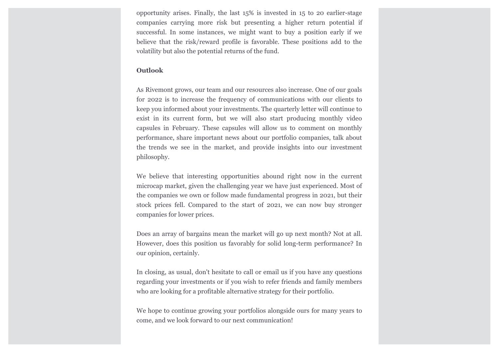opportunity arises. Finally, the last 15% is invested in 15 to 20 earlier-stage companies carrying more risk but presenting a higher return potential if successful. In some instances, we might want to buy a position early if we believe that the risk/reward profile is favorable. These positions add to the volatility but also the potential returns of the fund.

## **Outlook**

As Rivemont grows, our team and our resources also increase. One of our goals for 2022 is to increase the frequency of communications with our clients to keep you informed about your investments. The quarterly letter will continue to exist in its current form, but we will also start producing monthly video capsules in February. These capsules will allow us to comment on monthly performance, share important news about our portfolio companies, talk about the trends we see in the market, and provide insights into our investment philosophy.

We believe that interesting opportunities abound right now in the current microcap market, given the challenging year we have just experienced. Most of the companies we own or follow made fundamental progress in 2021, but their stock prices fell. Compared to the start of 2021, we can now buy stronger companies for lower prices.

Does an array of bargains mean the market will go up next month? Not at all. However, does this position us favorably for solid long-term performance? In our opinion, certainly.

In closing, as usual, don't hesitate to call or email us if you have any questions regarding your investments or if you wish to refer friends and family members who are looking for a profitable alternative strategy for their portfolio.

We hope to continue growing your portfolios alongside ours for many years to come, and we look forward to our next communication!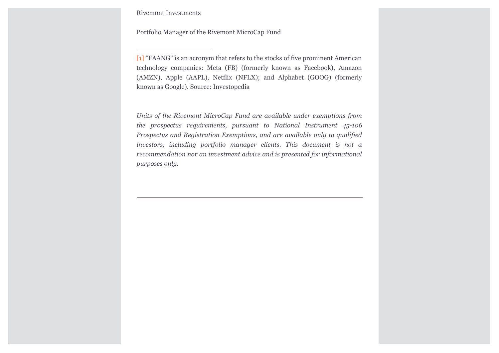Rivemont Investments

Portfolio Manager of the Rivemont MicroCap Fund

<span id="page-8-0"></span>[\[1\]](#page-4-0) "FAANG" is an acronym that refers to the stocks of five prominent American technology companies: Meta (FB) (formerly known as Facebook), Amazon (AMZN), Apple (AAPL), Netflix (NFLX); and Alphabet (GOOG) (formerly known as Google). Source: Investopedia

*Units of the Rivemont MicroCap Fund are available under exemptions from the prospectus requirements, pursuant to National Instrument 45-106 Prospectus and Registration Exemptions, and are available only to qualified investors, including portfolio manager clients. This document is not a recommendation nor an investment advice and is presented for informational purposes only.*